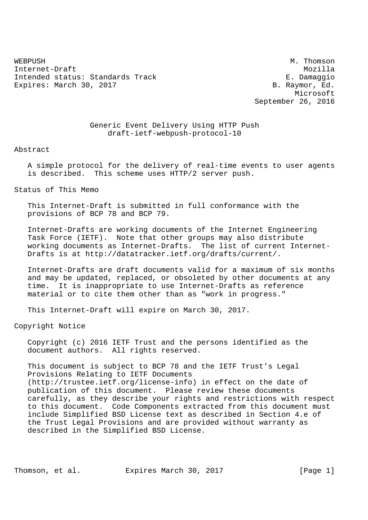WEBPUSH M. Thomson Internet-Draft Mozilla Intended status: Standards Track E. Damaggio Expires: March 30, 2017 **B. Raymor, Ed.** 

 Microsoft September 26, 2016

> Generic Event Delivery Using HTTP Push draft-ietf-webpush-protocol-10

#### Abstract

 A simple protocol for the delivery of real-time events to user agents is described. This scheme uses HTTP/2 server push.

# Status of This Memo

 This Internet-Draft is submitted in full conformance with the provisions of BCP 78 and BCP 79.

 Internet-Drafts are working documents of the Internet Engineering Task Force (IETF). Note that other groups may also distribute working documents as Internet-Drafts. The list of current Internet- Drafts is at http://datatracker.ietf.org/drafts/current/.

 Internet-Drafts are draft documents valid for a maximum of six months and may be updated, replaced, or obsoleted by other documents at any time. It is inappropriate to use Internet-Drafts as reference material or to cite them other than as "work in progress."

This Internet-Draft will expire on March 30, 2017.

Copyright Notice

 Copyright (c) 2016 IETF Trust and the persons identified as the document authors. All rights reserved.

 This document is subject to BCP 78 and the IETF Trust's Legal Provisions Relating to IETF Documents (http://trustee.ietf.org/license-info) in effect on the date of publication of this document. Please review these documents carefully, as they describe your rights and restrictions with respect to this document. Code Components extracted from this document must include Simplified BSD License text as described in Section 4.e of the Trust Legal Provisions and are provided without warranty as described in the Simplified BSD License.

Thomson, et al. Expires March 30, 2017 [Page 1]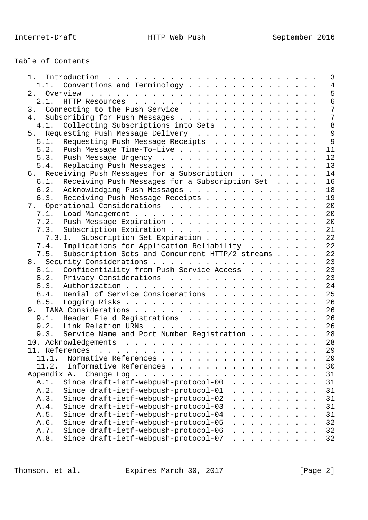# Table of Contents

| 1.                                                                                                                                 |               |        |                             |  | $\overline{3}$ |
|------------------------------------------------------------------------------------------------------------------------------------|---------------|--------|-----------------------------|--|----------------|
| Conventions and Terminology<br>1.1.                                                                                                |               |        |                             |  | $\overline{4}$ |
| Overview<br>the contract of the contract of the contract of the contract of the contract of the contract of the contract of<br>2.1 |               |        |                             |  | 5              |
|                                                                                                                                    |               |        |                             |  | 6              |
| 3. Connecting to the Push Service                                                                                                  |               |        |                             |  | $\overline{7}$ |
| Subscribing for Push Messages<br>4.                                                                                                |               |        |                             |  | $\overline{7}$ |
| Collecting Subscriptions into Sets<br>4.1.                                                                                         |               |        |                             |  | 8              |
| Requesting Push Message Delivery<br>5.                                                                                             |               |        |                             |  | 9              |
| Requesting Push Message Receipts<br>5.1.                                                                                           |               |        |                             |  | 9              |
| 5.2.<br>Push Message Time-To-Live                                                                                                  |               |        |                             |  | 11             |
|                                                                                                                                    |               |        |                             |  | 12             |
| 5.3. Push Message Urgency                                                                                                          |               |        |                             |  | 13             |
| Replacing Push Messages<br>5.4.                                                                                                    |               |        |                             |  |                |
| 6. Receiving Push Messages for a Subscription                                                                                      |               |        |                             |  | 14             |
| Receiving Push Messages for a Subscription Set<br>6.1.                                                                             |               |        |                             |  | 16             |
| 6.2.<br>Acknowledging Push Messages                                                                                                |               |        |                             |  | 18             |
| Receiving Push Message Receipts<br>6.3.                                                                                            |               |        |                             |  | 19             |
| 7. Operational Considerations                                                                                                      |               |        |                             |  | 20             |
| 7.1.                                                                                                                               |               |        |                             |  | 20             |
| 7.2.<br>Push Message Expiration                                                                                                    |               |        |                             |  | 20             |
| Subscription Expiration<br>7.3.                                                                                                    |               |        |                             |  | 21             |
| Subscription Set Expiration<br>7.3.1.                                                                                              |               |        |                             |  | 22             |
| Implications for Application Reliability<br>7.4.                                                                                   |               |        |                             |  | 22             |
| 7.5.<br>Subscription Sets and Concurrent HTTP/2 streams                                                                            |               |        |                             |  | 22             |
|                                                                                                                                    |               |        |                             |  | 23             |
| Confidentiality from Push Service Access<br>8.1.                                                                                   |               |        |                             |  | 23             |
| Privacy Considerations<br>8.2.                                                                                                     |               |        |                             |  | 23             |
| 8.3.                                                                                                                               |               |        |                             |  | 24             |
| Denial of Service Considerations<br>8.4.                                                                                           |               |        |                             |  | 25             |
| 8.5.                                                                                                                               |               |        |                             |  | 26             |
|                                                                                                                                    |               |        |                             |  | 26             |
| 9.1.<br>Header Field Registrations                                                                                                 |               |        |                             |  | 26             |
|                                                                                                                                    |               |        |                             |  | 26             |
| 9.3. Service Name and Port Number Registration                                                                                     |               |        |                             |  | 28             |
|                                                                                                                                    |               |        |                             |  |                |
|                                                                                                                                    |               |        |                             |  | 28             |
|                                                                                                                                    |               |        |                             |  | 29             |
| Normative References<br>11.1.                                                                                                      |               |        |                             |  | 29             |
| 11.2.<br>Informative References                                                                                                    |               |        |                             |  | 30             |
| Appendix A.<br>Change Log                                                                                                          |               |        |                             |  | 31             |
| Since draft-ietf-webpush-protocol-00<br>A.1.<br>$\sim$ $\sim$                                                                      |               | $\sim$ |                             |  | 31             |
| A.2.<br>Since draft-ietf-webpush-protocol-01                                                                                       |               |        |                             |  | 31             |
| A.3.<br>Since draft-ietf-webpush-protocol-02                                                                                       |               |        |                             |  | 31             |
| Since draft-ietf-webpush-protocol-03<br>A.4.                                                                                       |               |        |                             |  | 31             |
| Since draft-ietf-webpush-protocol-04<br>A.5.                                                                                       |               |        |                             |  | 31             |
| Since draft-ietf-webpush-protocol-05<br>A.6.<br>$\ddot{\phantom{0}}$                                                               | $\sim$ $\sim$ |        | $\sim$ $\sim$ $\sim$ $\sim$ |  | 32             |
| Since draft-ietf-webpush-protocol-06<br>A.7.<br>.                                                                                  |               |        |                             |  | 32             |
| Since draft-ietf-webpush-protocol-07<br>A.8.                                                                                       |               |        |                             |  | 32             |
|                                                                                                                                    |               |        |                             |  |                |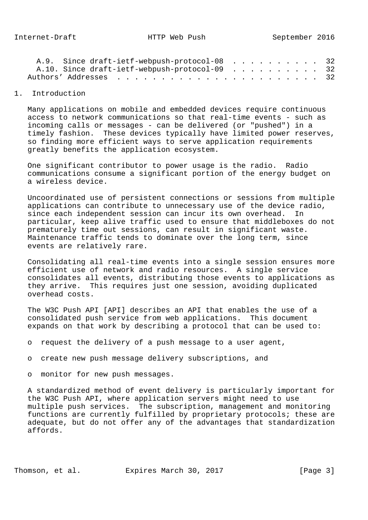|                                               | A.9. Since draft-ietf-webpush-protocol-08 32 |  |  |  |  |  |  |  |  |  |  |
|-----------------------------------------------|----------------------------------------------|--|--|--|--|--|--|--|--|--|--|
| A.10. Since draft-ietf-webpush-protocol-09 32 |                                              |  |  |  |  |  |  |  |  |  |  |
|                                               |                                              |  |  |  |  |  |  |  |  |  |  |

### 1. Introduction

 Many applications on mobile and embedded devices require continuous access to network communications so that real-time events - such as incoming calls or messages - can be delivered (or "pushed") in a timely fashion. These devices typically have limited power reserves, so finding more efficient ways to serve application requirements greatly benefits the application ecosystem.

 One significant contributor to power usage is the radio. Radio communications consume a significant portion of the energy budget on a wireless device.

 Uncoordinated use of persistent connections or sessions from multiple applications can contribute to unnecessary use of the device radio, since each independent session can incur its own overhead. In particular, keep alive traffic used to ensure that middleboxes do not prematurely time out sessions, can result in significant waste. Maintenance traffic tends to dominate over the long term, since events are relatively rare.

 Consolidating all real-time events into a single session ensures more efficient use of network and radio resources. A single service consolidates all events, distributing those events to applications as they arrive. This requires just one session, avoiding duplicated overhead costs.

 The W3C Push API [API] describes an API that enables the use of a consolidated push service from web applications. This document expands on that work by describing a protocol that can be used to:

- o request the delivery of a push message to a user agent,
- o create new push message delivery subscriptions, and
- o monitor for new push messages.

 A standardized method of event delivery is particularly important for the W3C Push API, where application servers might need to use multiple push services. The subscription, management and monitoring functions are currently fulfilled by proprietary protocols; these are adequate, but do not offer any of the advantages that standardization affords.

Thomson, et al. Expires March 30, 2017 [Page 3]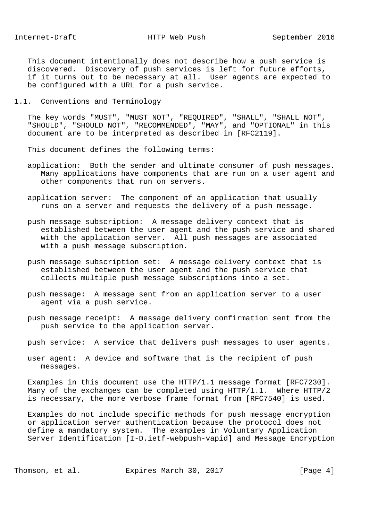This document intentionally does not describe how a push service is discovered. Discovery of push services is left for future efforts, if it turns out to be necessary at all. User agents are expected to be configured with a URL for a push service.

1.1. Conventions and Terminology

 The key words "MUST", "MUST NOT", "REQUIRED", "SHALL", "SHALL NOT", "SHOULD", "SHOULD NOT", "RECOMMENDED", "MAY", and "OPTIONAL" in this document are to be interpreted as described in [RFC2119].

This document defines the following terms:

- application: Both the sender and ultimate consumer of push messages. Many applications have components that are run on a user agent and other components that run on servers.
- application server: The component of an application that usually runs on a server and requests the delivery of a push message.
- push message subscription: A message delivery context that is established between the user agent and the push service and shared with the application server. All push messages are associated with a push message subscription.
- push message subscription set: A message delivery context that is established between the user agent and the push service that collects multiple push message subscriptions into a set.
- push message: A message sent from an application server to a user agent via a push service.
- push message receipt: A message delivery confirmation sent from the push service to the application server.
- push service: A service that delivers push messages to user agents.
- user agent: A device and software that is the recipient of push messages.

 Examples in this document use the HTTP/1.1 message format [RFC7230]. Many of the exchanges can be completed using HTTP/1.1. Where HTTP/2 is necessary, the more verbose frame format from [RFC7540] is used.

 Examples do not include specific methods for push message encryption or application server authentication because the protocol does not define a mandatory system. The examples in Voluntary Application Server Identification [I-D.ietf-webpush-vapid] and Message Encryption

Thomson, et al. Expires March 30, 2017 [Page 4]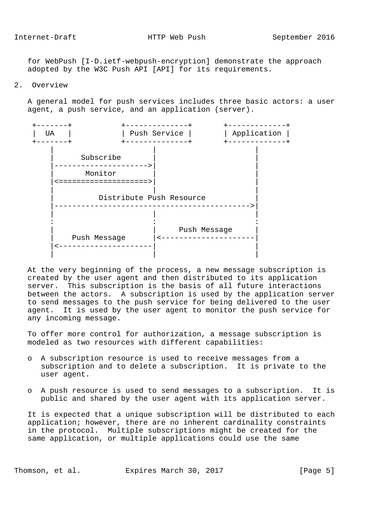for WebPush [I-D.ietf-webpush-encryption] demonstrate the approach adopted by the W3C Push API [API] for its requirements.

2. Overview

 A general model for push services includes three basic actors: a user agent, a push service, and an application (server).



 At the very beginning of the process, a new message subscription is created by the user agent and then distributed to its application server. This subscription is the basis of all future interactions between the actors. A subscription is used by the application server to send messages to the push service for being delivered to the user agent. It is used by the user agent to monitor the push service for any incoming message.

 To offer more control for authorization, a message subscription is modeled as two resources with different capabilities:

- o A subscription resource is used to receive messages from a subscription and to delete a subscription. It is private to the user agent.
- o A push resource is used to send messages to a subscription. It is public and shared by the user agent with its application server.

 It is expected that a unique subscription will be distributed to each application; however, there are no inherent cardinality constraints in the protocol. Multiple subscriptions might be created for the same application, or multiple applications could use the same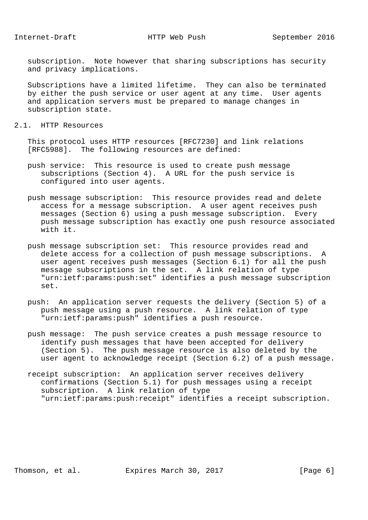subscription. Note however that sharing subscriptions has security and privacy implications.

 Subscriptions have a limited lifetime. They can also be terminated by either the push service or user agent at any time. User agents and application servers must be prepared to manage changes in subscription state.

2.1. HTTP Resources

 This protocol uses HTTP resources [RFC7230] and link relations [RFC5988]. The following resources are defined:

- push service: This resource is used to create push message subscriptions (Section 4). A URL for the push service is configured into user agents.
- push message subscription: This resource provides read and delete access for a message subscription. A user agent receives push messages (Section 6) using a push message subscription. Every push message subscription has exactly one push resource associated with it.
- push message subscription set: This resource provides read and delete access for a collection of push message subscriptions. A user agent receives push messages (Section 6.1) for all the push message subscriptions in the set. A link relation of type "urn:ietf:params:push:set" identifies a push message subscription set.
- push: An application server requests the delivery (Section 5) of a push message using a push resource. A link relation of type "urn:ietf:params:push" identifies a push resource.
- push message: The push service creates a push message resource to identify push messages that have been accepted for delivery (Section 5). The push message resource is also deleted by the user agent to acknowledge receipt (Section 6.2) of a push message.
- receipt subscription: An application server receives delivery confirmations (Section 5.1) for push messages using a receipt subscription. A link relation of type "urn:ietf:params:push:receipt" identifies a receipt subscription.

Thomson, et al. Expires March 30, 2017 [Page 6]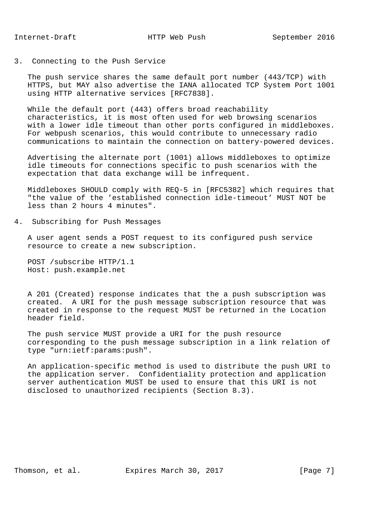# 3. Connecting to the Push Service

 The push service shares the same default port number (443/TCP) with HTTPS, but MAY also advertise the IANA allocated TCP System Port 1001 using HTTP alternative services [RFC7838].

 While the default port (443) offers broad reachability characteristics, it is most often used for web browsing scenarios with a lower idle timeout than other ports configured in middleboxes. For webpush scenarios, this would contribute to unnecessary radio communications to maintain the connection on battery-powered devices.

 Advertising the alternate port (1001) allows middleboxes to optimize idle timeouts for connections specific to push scenarios with the expectation that data exchange will be infrequent.

 Middleboxes SHOULD comply with REQ-5 in [RFC5382] which requires that "the value of the 'established connection idle-timeout' MUST NOT be less than 2 hours 4 minutes".

#### 4. Subscribing for Push Messages

 A user agent sends a POST request to its configured push service resource to create a new subscription.

 POST /subscribe HTTP/1.1 Host: push.example.net

 A 201 (Created) response indicates that the a push subscription was created. A URI for the push message subscription resource that was created in response to the request MUST be returned in the Location header field.

 The push service MUST provide a URI for the push resource corresponding to the push message subscription in a link relation of type "urn:ietf:params:push".

 An application-specific method is used to distribute the push URI to the application server. Confidentiality protection and application server authentication MUST be used to ensure that this URI is not disclosed to unauthorized recipients (Section 8.3).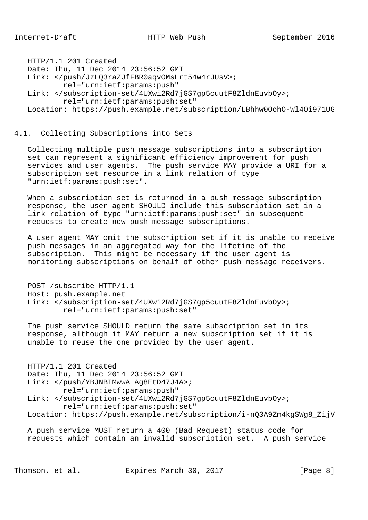HTTP/1.1 201 Created Date: Thu, 11 Dec 2014 23:56:52 GMT Link: </push/JzLQ3raZJfFBR0aqvOMsLrt54w4rJUsV>; rel="urn:ietf:params:push" Link: </subscription-set/4UXwi2Rd7jGS7gp5cuutF8ZldnEuvbOy>; rel="urn:ietf:params:push:set" Location: https://push.example.net/subscription/LBhhw0OohO-Wl4Oi971UG

# 4.1. Collecting Subscriptions into Sets

 Collecting multiple push message subscriptions into a subscription set can represent a significant efficiency improvement for push services and user agents. The push service MAY provide a URI for a subscription set resource in a link relation of type "urn:ietf:params:push:set".

 When a subscription set is returned in a push message subscription response, the user agent SHOULD include this subscription set in a link relation of type "urn:ietf:params:push:set" in subsequent requests to create new push message subscriptions.

 A user agent MAY omit the subscription set if it is unable to receive push messages in an aggregated way for the lifetime of the subscription. This might be necessary if the user agent is monitoring subscriptions on behalf of other push message receivers.

```
 POST /subscribe HTTP/1.1
Host: push.example.net
Link: </subscription-set/4UXwi2Rd7jGS7gp5cuutF8ZldnEuvbOy>;
        rel="urn:ietf:params:push:set"
```
 The push service SHOULD return the same subscription set in its response, although it MAY return a new subscription set if it is unable to reuse the one provided by the user agent.

```
 HTTP/1.1 201 Created
Date: Thu, 11 Dec 2014 23:56:52 GMT
Link: </push/YBJNBIMwwA_Ag8EtD47J4A>;
        rel="urn:ietf:params:push"
Link: </subscription-set/4UXwi2Rd7jGS7gp5cuutF8ZldnEuvbOy>;
        rel="urn:ietf:params:push:set"
Location: https://push.example.net/subscription/i-nQ3A9Zm4kgSWg8_ZijV
```
 A push service MUST return a 400 (Bad Request) status code for requests which contain an invalid subscription set. A push service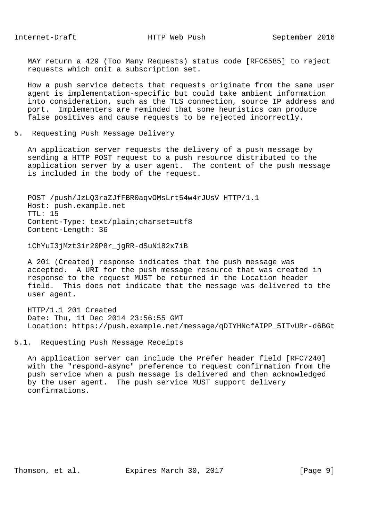MAY return a 429 (Too Many Requests) status code [RFC6585] to reject requests which omit a subscription set.

 How a push service detects that requests originate from the same user agent is implementation-specific but could take ambient information into consideration, such as the TLS connection, source IP address and port. Implementers are reminded that some heuristics can produce false positives and cause requests to be rejected incorrectly.

5. Requesting Push Message Delivery

 An application server requests the delivery of a push message by sending a HTTP POST request to a push resource distributed to the application server by a user agent. The content of the push message is included in the body of the request.

 POST /push/JzLQ3raZJfFBR0aqvOMsLrt54w4rJUsV HTTP/1.1 Host: push.example.net  $TTI: 15$  Content-Type: text/plain;charset=utf8 Content-Length: 36

iChYuI3jMzt3ir20P8r\_jgRR-dSuN182x7iB

 A 201 (Created) response indicates that the push message was accepted. A URI for the push message resource that was created in response to the request MUST be returned in the Location header field. This does not indicate that the message was delivered to the user agent.

 HTTP/1.1 201 Created Date: Thu, 11 Dec 2014 23:56:55 GMT Location: https://push.example.net/message/qDIYHNcfAIPP\_5ITvURr-d6BGt

5.1. Requesting Push Message Receipts

 An application server can include the Prefer header field [RFC7240] with the "respond-async" preference to request confirmation from the push service when a push message is delivered and then acknowledged by the user agent. The push service MUST support delivery confirmations.

Thomson, et al. Expires March 30, 2017 [Page 9]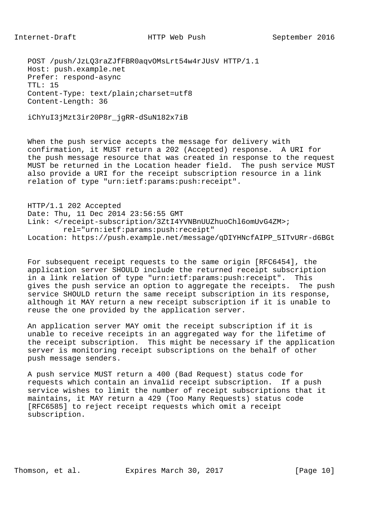POST /push/JzLQ3raZJfFBR0aqvOMsLrt54w4rJUsV HTTP/1.1 Host: push.example.net Prefer: respond-async  $TTI: 15$  Content-Type: text/plain;charset=utf8 Content-Length: 36

iChYuI3jMzt3ir20P8r\_jgRR-dSuN182x7iB

When the push service accepts the message for delivery with confirmation, it MUST return a 202 (Accepted) response. A URI for the push message resource that was created in response to the request MUST be returned in the Location header field. The push service MUST also provide a URI for the receipt subscription resource in a link relation of type "urn:ietf:params:push:receipt".

 HTTP/1.1 202 Accepted Date: Thu, 11 Dec 2014 23:56:55 GMT Link: </receipt-subscription/3ZtI4YVNBnUUZhuoChl6omUvG4ZM>; rel="urn:ietf:params:push:receipt" Location: https://push.example.net/message/qDIYHNcfAIPP\_5ITvURr-d6BGt

 For subsequent receipt requests to the same origin [RFC6454], the application server SHOULD include the returned receipt subscription in a link relation of type "urn:ietf:params:push:receipt". This gives the push service an option to aggregate the receipts. The push service SHOULD return the same receipt subscription in its response, although it MAY return a new receipt subscription if it is unable to reuse the one provided by the application server.

 An application server MAY omit the receipt subscription if it is unable to receive receipts in an aggregated way for the lifetime of the receipt subscription. This might be necessary if the application server is monitoring receipt subscriptions on the behalf of other push message senders.

 A push service MUST return a 400 (Bad Request) status code for requests which contain an invalid receipt subscription. If a push service wishes to limit the number of receipt subscriptions that it maintains, it MAY return a 429 (Too Many Requests) status code [RFC6585] to reject receipt requests which omit a receipt subscription.

Thomson, et al. Expires March 30, 2017 [Page 10]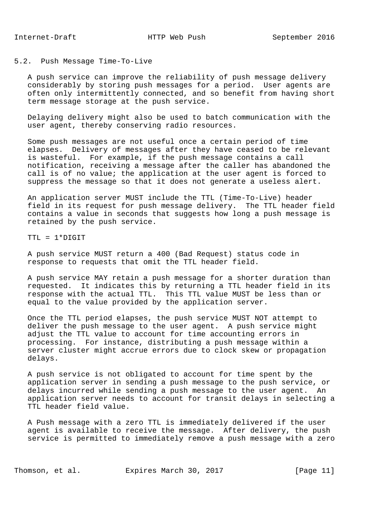# 5.2. Push Message Time-To-Live

 A push service can improve the reliability of push message delivery considerably by storing push messages for a period. User agents are often only intermittently connected, and so benefit from having short term message storage at the push service.

 Delaying delivery might also be used to batch communication with the user agent, thereby conserving radio resources.

 Some push messages are not useful once a certain period of time elapses. Delivery of messages after they have ceased to be relevant is wasteful. For example, if the push message contains a call notification, receiving a message after the caller has abandoned the call is of no value; the application at the user agent is forced to suppress the message so that it does not generate a useless alert.

 An application server MUST include the TTL (Time-To-Live) header field in its request for push message delivery. The TTL header field contains a value in seconds that suggests how long a push message is retained by the push service.

TTL = 1\*DIGIT

 A push service MUST return a 400 (Bad Request) status code in response to requests that omit the TTL header field.

 A push service MAY retain a push message for a shorter duration than requested. It indicates this by returning a TTL header field in its response with the actual TTL. This TTL value MUST be less than or equal to the value provided by the application server.

 Once the TTL period elapses, the push service MUST NOT attempt to deliver the push message to the user agent. A push service might adjust the TTL value to account for time accounting errors in processing. For instance, distributing a push message within a server cluster might accrue errors due to clock skew or propagation delays.

 A push service is not obligated to account for time spent by the application server in sending a push message to the push service, or delays incurred while sending a push message to the user agent. An application server needs to account for transit delays in selecting a TTL header field value.

 A Push message with a zero TTL is immediately delivered if the user agent is available to receive the message. After delivery, the push service is permitted to immediately remove a push message with a zero

Thomson, et al. Expires March 30, 2017 [Page 11]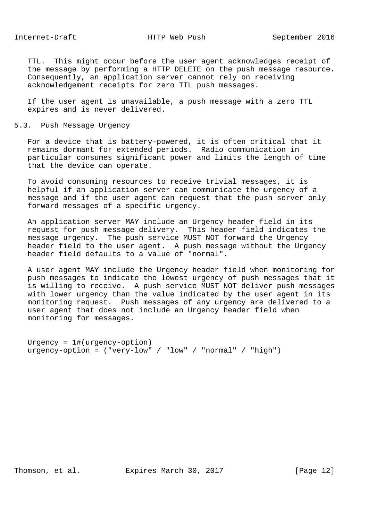TTL. This might occur before the user agent acknowledges receipt of the message by performing a HTTP DELETE on the push message resource. Consequently, an application server cannot rely on receiving acknowledgement receipts for zero TTL push messages.

 If the user agent is unavailable, a push message with a zero TTL expires and is never delivered.

# 5.3. Push Message Urgency

 For a device that is battery-powered, it is often critical that it remains dormant for extended periods. Radio communication in particular consumes significant power and limits the length of time that the device can operate.

 To avoid consuming resources to receive trivial messages, it is helpful if an application server can communicate the urgency of a message and if the user agent can request that the push server only forward messages of a specific urgency.

 An application server MAY include an Urgency header field in its request for push message delivery. This header field indicates the message urgency. The push service MUST NOT forward the Urgency header field to the user agent. A push message without the Urgency header field defaults to a value of "normal".

 A user agent MAY include the Urgency header field when monitoring for push messages to indicate the lowest urgency of push messages that it is willing to receive. A push service MUST NOT deliver push messages with lower urgency than the value indicated by the user agent in its monitoring request. Push messages of any urgency are delivered to a user agent that does not include an Urgency header field when monitoring for messages.

```
 Urgency = 1#(urgency-option)
urgency-option = ("very-low" / "low" / "normal" / "high")
```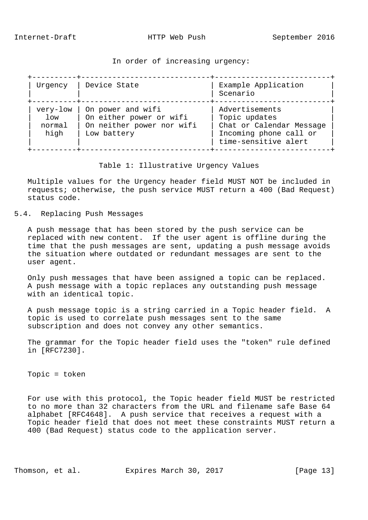### In order of increasing urgency:

| Urgency                              | Device State                                                                             | Example Application<br>Scenario                                                                               |
|--------------------------------------|------------------------------------------------------------------------------------------|---------------------------------------------------------------------------------------------------------------|
| very-low<br>$1$ ow<br>normal<br>high | On power and wifi<br>On either power or wifi<br>On neither power nor wifi<br>Low battery | Advertisements<br>Topic updates<br>Chat or Calendar Message<br>Incoming phone call or<br>time-sensitive alert |

## Table 1: Illustrative Urgency Values

 Multiple values for the Urgency header field MUST NOT be included in requests; otherwise, the push service MUST return a 400 (Bad Request) status code.

5.4. Replacing Push Messages

 A push message that has been stored by the push service can be replaced with new content. If the user agent is offline during the time that the push messages are sent, updating a push message avoids the situation where outdated or redundant messages are sent to the user agent.

 Only push messages that have been assigned a topic can be replaced. A push message with a topic replaces any outstanding push message with an identical topic.

 A push message topic is a string carried in a Topic header field. A topic is used to correlate push messages sent to the same subscription and does not convey any other semantics.

 The grammar for the Topic header field uses the "token" rule defined in [RFC7230].

Topic = token

 For use with this protocol, the Topic header field MUST be restricted to no more than 32 characters from the URL and filename safe Base 64 alphabet [RFC4648]. A push service that receives a request with a Topic header field that does not meet these constraints MUST return a 400 (Bad Request) status code to the application server.

Thomson, et al. Expires March 30, 2017 [Page 13]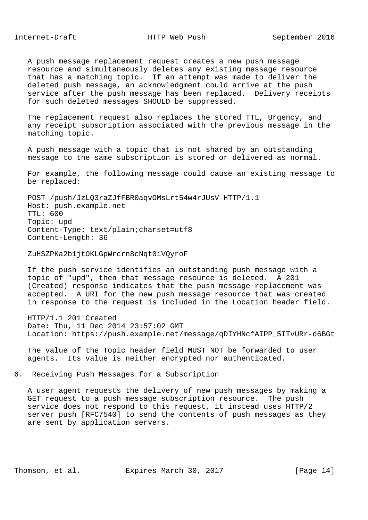Internet-Draft MEXIMITTP Web Push September 2016

 A push message replacement request creates a new push message resource and simultaneously deletes any existing message resource that has a matching topic. If an attempt was made to deliver the deleted push message, an acknowledgment could arrive at the push service after the push message has been replaced. Delivery receipts for such deleted messages SHOULD be suppressed.

 The replacement request also replaces the stored TTL, Urgency, and any receipt subscription associated with the previous message in the matching topic.

 A push message with a topic that is not shared by an outstanding message to the same subscription is stored or delivered as normal.

 For example, the following message could cause an existing message to be replaced:

 POST /push/JzLQ3raZJfFBR0aqvOMsLrt54w4rJUsV HTTP/1.1 Host: push.example.net TTL: 600 Topic: upd Content-Type: text/plain;charset=utf8 Content-Length: 36

ZuHSZPKa2b1jtOKLGpWrcrn8cNqt0iVQyroF

 If the push service identifies an outstanding push message with a topic of "upd", then that message resource is deleted. A 201 (Created) response indicates that the push message replacement was accepted. A URI for the new push message resource that was created in response to the request is included in the Location header field.

 HTTP/1.1 201 Created Date: Thu, 11 Dec 2014 23:57:02 GMT Location: https://push.example.net/message/qDIYHNcfAIPP\_5ITvURr-d6BGt

 The value of the Topic header field MUST NOT be forwarded to user agents. Its value is neither encrypted nor authenticated.

6. Receiving Push Messages for a Subscription

 A user agent requests the delivery of new push messages by making a GET request to a push message subscription resource. The push service does not respond to this request, it instead uses HTTP/2 server push [RFC7540] to send the contents of push messages as they are sent by application servers.

Thomson, et al. Expires March 30, 2017 [Page 14]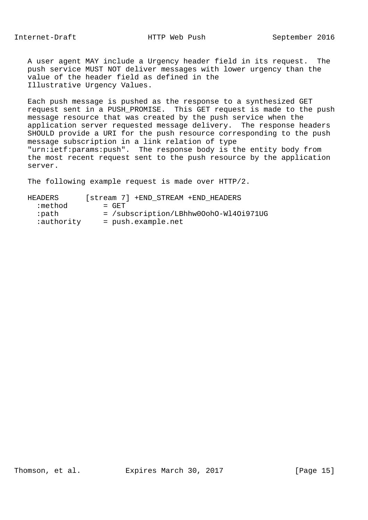A user agent MAY include a Urgency header field in its request. The push service MUST NOT deliver messages with lower urgency than the value of the header field as defined in the Illustrative Urgency Values.

 Each push message is pushed as the response to a synthesized GET request sent in a PUSH\_PROMISE. This GET request is made to the push message resource that was created by the push service when the application server requested message delivery. The response headers SHOULD provide a URI for the push resource corresponding to the push message subscription in a link relation of type "urn:ietf:params:push". The response body is the entity body from the most recent request sent to the push resource by the application server.

The following example request is made over HTTP/2.

 HEADERS [stream 7] +END\_STREAM +END\_HEADERS  $:$  method  $=$  GET :path = /subscription/LBhhw0OohO-Wl4Oi971UG :<br>authority = push.example.net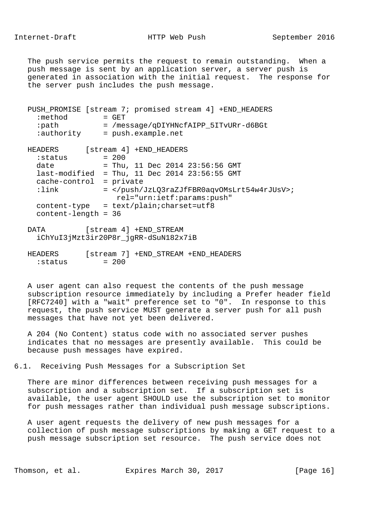The push service permits the request to remain outstanding. When a push message is sent by an application server, a server push is generated in association with the initial request. The response for the server push includes the push message.

| [stream 4] +END_HEADERS<br>HEADERS<br>$= 200$<br>:status            |  |
|---------------------------------------------------------------------|--|
|                                                                     |  |
|                                                                     |  |
| = Thu, 11 Dec 2014 23:56:56 GMT<br>date                             |  |
| $last-modified = Thu, 11 Dec 2014 23:56:55 GMT$                     |  |
| $cache-control = private$                                           |  |
| : $link$<br>= ;<br>rel="urn:ietf:params:push"                       |  |
| = text/plain;charset=utf8<br>content-type<br>$content$ -length = 36 |  |

- DATA [stream 4] +END STREAM iChYuI3jMzt3ir20P8r\_jgRR-dSuN182x7iB
- HEADERS [stream 7] +END\_STREAM +END\_HEADERS  $:$  status  $= 200$

 A user agent can also request the contents of the push message subscription resource immediately by including a Prefer header field [RFC7240] with a "wait" preference set to "0". In response to this request, the push service MUST generate a server push for all push messages that have not yet been delivered.

 A 204 (No Content) status code with no associated server pushes indicates that no messages are presently available. This could be because push messages have expired.

6.1. Receiving Push Messages for a Subscription Set

 There are minor differences between receiving push messages for a subscription and a subscription set. If a subscription set is available, the user agent SHOULD use the subscription set to monitor for push messages rather than individual push message subscriptions.

 A user agent requests the delivery of new push messages for a collection of push message subscriptions by making a GET request to a push message subscription set resource. The push service does not

Thomson, et al. Expires March 30, 2017 [Page 16]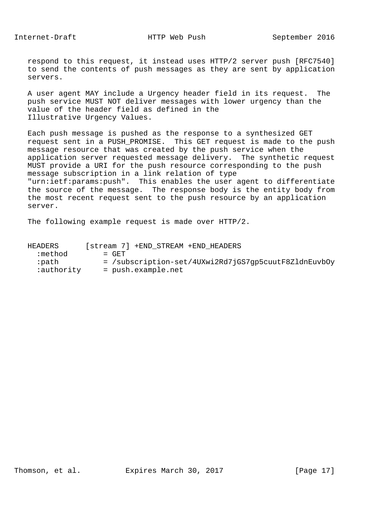respond to this request, it instead uses HTTP/2 server push [RFC7540] to send the contents of push messages as they are sent by application servers.

 A user agent MAY include a Urgency header field in its request. The push service MUST NOT deliver messages with lower urgency than the value of the header field as defined in the Illustrative Urgency Values.

 Each push message is pushed as the response to a synthesized GET request sent in a PUSH\_PROMISE. This GET request is made to the push message resource that was created by the push service when the application server requested message delivery. The synthetic request MUST provide a URI for the push resource corresponding to the push message subscription in a link relation of type "urn:ietf:params:push". This enables the user agent to differentiate the source of the message. The response body is the entity body from the most recent request sent to the push resource by an application server.

The following example request is made over HTTP/2.

| HEADERS    | [stream 7] +END STREAM +END HEADERS                  |
|------------|------------------------------------------------------|
| :method    | $=$ GET                                              |
| :path-     | = /subscription-set/4UXwi2Rd7jGS7qp5cuutF8ZldnEuvbOy |
| ∶authority | $=$ push.example.net                                 |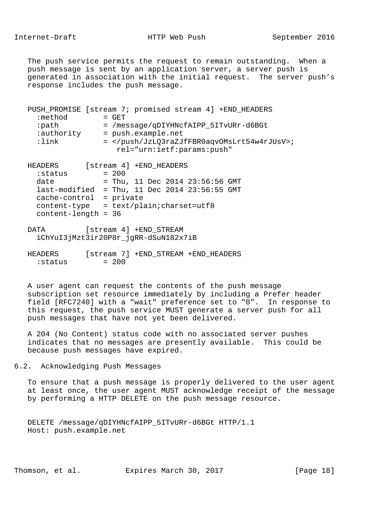The push service permits the request to remain outstanding. When a push message is sent by an application server, a server push is generated in association with the initial request. The server push's response includes the push message.

| :method<br>:path<br>:authority<br>$:1$ ink | PUSH_PROMISE [stream 7; promised stream 4] +END_HEADERS<br>$=$ GET<br>= /message/qDIYHNcfAIPP_5ITvURr-d6BGt<br>= push.example.net<br>= ; |
|--------------------------------------------|------------------------------------------------------------------------------------------------------------------------------------------|
| <b>HEADERS</b>                             | rel="urn:ietf:params:push"<br>[stream 4] +END_HEADERS                                                                                    |

| :status                | $= 200$   |  |                                 |  |
|------------------------|-----------|--|---------------------------------|--|
| date                   |           |  | = Thu, 11 Dec 2014 23:56:56 GMT |  |
| last-modified          |           |  | = Thu, 11 Dec 2014 23:56:55 GMT |  |
| cache-control          | = private |  |                                 |  |
| content-type           |           |  | $=$ text/plain; charset=utf8    |  |
| $content$ -length = 36 |           |  |                                 |  |

- DATA [stream 4] +END STREAM iChYuI3jMzt3ir20P8r\_jgRR-dSuN182x7iB
- HEADERS [stream 7] +END\_STREAM +END\_HEADERS  $:status$  = 200

 A user agent can request the contents of the push message subscription set resource immediately by including a Prefer header field [RFC7240] with a "wait" preference set to "0". In response to this request, the push service MUST generate a server push for all push messages that have not yet been delivered.

 A 204 (No Content) status code with no associated server pushes indicates that no messages are presently available. This could be because push messages have expired.

6.2. Acknowledging Push Messages

 To ensure that a push message is properly delivered to the user agent at least once, the user agent MUST acknowledge receipt of the message by performing a HTTP DELETE on the push message resource.

 DELETE /message/qDIYHNcfAIPP\_5ITvURr-d6BGt HTTP/1.1 Host: push.example.net

Thomson, et al. Expires March 30, 2017 [Page 18]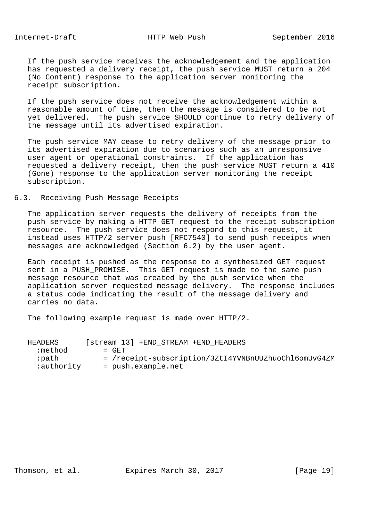If the push service receives the acknowledgement and the application has requested a delivery receipt, the push service MUST return a 204 (No Content) response to the application server monitoring the receipt subscription.

 If the push service does not receive the acknowledgement within a reasonable amount of time, then the message is considered to be not yet delivered. The push service SHOULD continue to retry delivery of the message until its advertised expiration.

 The push service MAY cease to retry delivery of the message prior to its advertised expiration due to scenarios such as an unresponsive user agent or operational constraints. If the application has requested a delivery receipt, then the push service MUST return a 410 (Gone) response to the application server monitoring the receipt subscription.

#### 6.3. Receiving Push Message Receipts

 The application server requests the delivery of receipts from the push service by making a HTTP GET request to the receipt subscription resource. The push service does not respond to this request, it instead uses HTTP/2 server push [RFC7540] to send push receipts when messages are acknowledged (Section 6.2) by the user agent.

 Each receipt is pushed as the response to a synthesized GET request sent in a PUSH\_PROMISE. This GET request is made to the same push message resource that was created by the push service when the application server requested message delivery. The response includes a status code indicating the result of the message delivery and carries no data.

The following example request is made over HTTP/2.

| HEADERS    | [stream 13] +END STREAM +END HEADERS                 |
|------------|------------------------------------------------------|
| :method    | $=$ GET                                              |
| :path      | = /receipt-subscription/3ZtI4YVNBnUUZhuoChl6omUvG4ZM |
| :authority | = push.example.net                                   |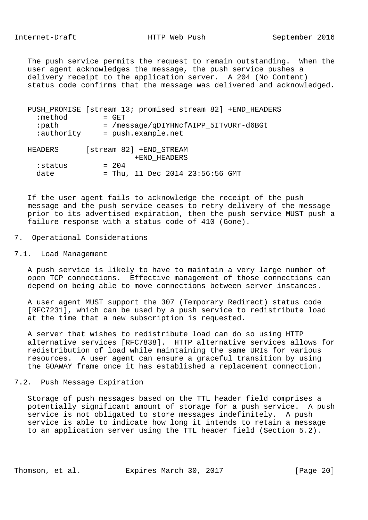The push service permits the request to remain outstanding. When the user agent acknowledges the message, the push service pushes a delivery receipt to the application server. A 204 (No Content) status code confirms that the message was delivered and acknowledged.

| :method<br>∶path<br>:authority | PUSH_PROMISE [stream 13; promised stream 82] +END_HEADERS<br>$=$ GET<br>= /message/gDIYHNcfAIPP 5ITvURr-d6BGt<br>= push.example.net |
|--------------------------------|-------------------------------------------------------------------------------------------------------------------------------------|
| HEADERS                        | [stream 82] +END STREAM<br>+END HEADERS                                                                                             |
| :status<br>date                | $= 204$<br>= Thu, 11 Dec 2014 23:56:56 GMT                                                                                          |

 If the user agent fails to acknowledge the receipt of the push message and the push service ceases to retry delivery of the message prior to its advertised expiration, then the push service MUST push a failure response with a status code of 410 (Gone).

#### 7. Operational Considerations

#### 7.1. Load Management

 A push service is likely to have to maintain a very large number of open TCP connections. Effective management of those connections can depend on being able to move connections between server instances.

 A user agent MUST support the 307 (Temporary Redirect) status code [RFC7231], which can be used by a push service to redistribute load at the time that a new subscription is requested.

 A server that wishes to redistribute load can do so using HTTP alternative services [RFC7838]. HTTP alternative services allows for redistribution of load while maintaining the same URIs for various resources. A user agent can ensure a graceful transition by using the GOAWAY frame once it has established a replacement connection.

#### 7.2. Push Message Expiration

 Storage of push messages based on the TTL header field comprises a potentially significant amount of storage for a push service. A push service is not obligated to store messages indefinitely. A push service is able to indicate how long it intends to retain a message to an application server using the TTL header field (Section 5.2).

Thomson, et al. Expires March 30, 2017 [Page 20]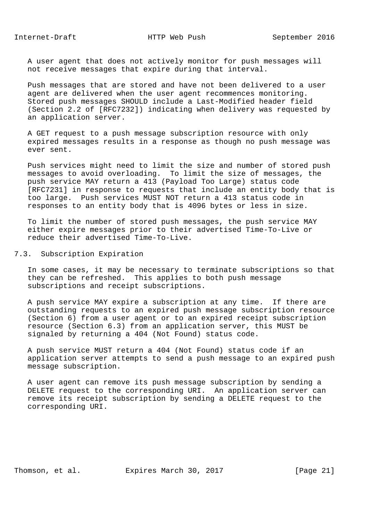A user agent that does not actively monitor for push messages will not receive messages that expire during that interval.

 Push messages that are stored and have not been delivered to a user agent are delivered when the user agent recommences monitoring. Stored push messages SHOULD include a Last-Modified header field (Section 2.2 of [RFC7232]) indicating when delivery was requested by an application server.

 A GET request to a push message subscription resource with only expired messages results in a response as though no push message was ever sent.

 Push services might need to limit the size and number of stored push messages to avoid overloading. To limit the size of messages, the push service MAY return a 413 (Payload Too Large) status code [RFC7231] in response to requests that include an entity body that is too large. Push services MUST NOT return a 413 status code in responses to an entity body that is 4096 bytes or less in size.

 To limit the number of stored push messages, the push service MAY either expire messages prior to their advertised Time-To-Live or reduce their advertised Time-To-Live.

7.3. Subscription Expiration

 In some cases, it may be necessary to terminate subscriptions so that they can be refreshed. This applies to both push message subscriptions and receipt subscriptions.

 A push service MAY expire a subscription at any time. If there are outstanding requests to an expired push message subscription resource (Section 6) from a user agent or to an expired receipt subscription resource (Section 6.3) from an application server, this MUST be signaled by returning a 404 (Not Found) status code.

 A push service MUST return a 404 (Not Found) status code if an application server attempts to send a push message to an expired push message subscription.

 A user agent can remove its push message subscription by sending a DELETE request to the corresponding URI. An application server can remove its receipt subscription by sending a DELETE request to the corresponding URI.

Thomson, et al. Expires March 30, 2017 [Page 21]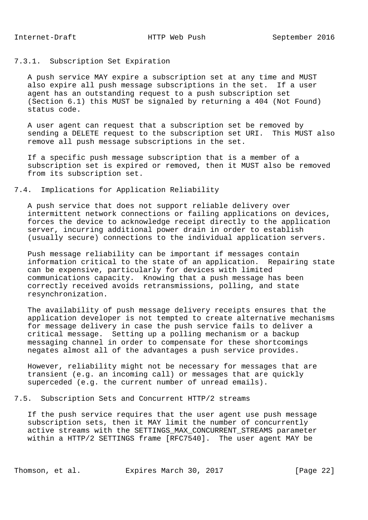# 7.3.1. Subscription Set Expiration

 A push service MAY expire a subscription set at any time and MUST also expire all push message subscriptions in the set. If a user agent has an outstanding request to a push subscription set (Section 6.1) this MUST be signaled by returning a 404 (Not Found) status code.

 A user agent can request that a subscription set be removed by sending a DELETE request to the subscription set URI. This MUST also remove all push message subscriptions in the set.

 If a specific push message subscription that is a member of a subscription set is expired or removed, then it MUST also be removed from its subscription set.

# 7.4. Implications for Application Reliability

 A push service that does not support reliable delivery over intermittent network connections or failing applications on devices, forces the device to acknowledge receipt directly to the application server, incurring additional power drain in order to establish (usually secure) connections to the individual application servers.

 Push message reliability can be important if messages contain information critical to the state of an application. Repairing state can be expensive, particularly for devices with limited communications capacity. Knowing that a push message has been correctly received avoids retransmissions, polling, and state resynchronization.

 The availability of push message delivery receipts ensures that the application developer is not tempted to create alternative mechanisms for message delivery in case the push service fails to deliver a critical message. Setting up a polling mechanism or a backup messaging channel in order to compensate for these shortcomings negates almost all of the advantages a push service provides.

 However, reliability might not be necessary for messages that are transient (e.g. an incoming call) or messages that are quickly superceded (e.g. the current number of unread emails).

7.5. Subscription Sets and Concurrent HTTP/2 streams

 If the push service requires that the user agent use push message subscription sets, then it MAY limit the number of concurrently active streams with the SETTINGS\_MAX\_CONCURRENT\_STREAMS parameter within a HTTP/2 SETTINGS frame [RFC7540]. The user agent MAY be

Thomson, et al. Expires March 30, 2017 [Page 22]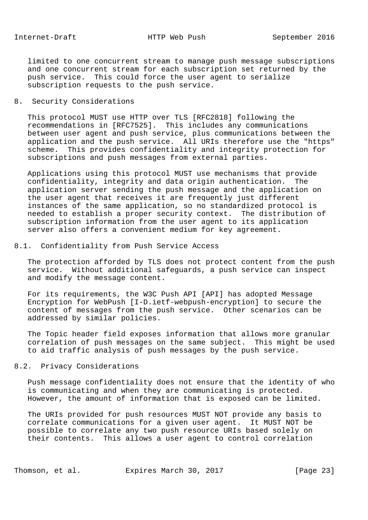limited to one concurrent stream to manage push message subscriptions and one concurrent stream for each subscription set returned by the push service. This could force the user agent to serialize subscription requests to the push service.

# 8. Security Considerations

 This protocol MUST use HTTP over TLS [RFC2818] following the recommendations in [RFC7525]. This includes any communications between user agent and push service, plus communications between the application and the push service. All URIs therefore use the "https" scheme. This provides confidentiality and integrity protection for subscriptions and push messages from external parties.

 Applications using this protocol MUST use mechanisms that provide confidentiality, integrity and data origin authentication. The application server sending the push message and the application on the user agent that receives it are frequently just different instances of the same application, so no standardized protocol is needed to establish a proper security context. The distribution of subscription information from the user agent to its application server also offers a convenient medium for key agreement.

# 8.1. Confidentiality from Push Service Access

 The protection afforded by TLS does not protect content from the push service. Without additional safeguards, a push service can inspect and modify the message content.

 For its requirements, the W3C Push API [API] has adopted Message Encryption for WebPush [I-D.ietf-webpush-encryption] to secure the content of messages from the push service. Other scenarios can be addressed by similar policies.

 The Topic header field exposes information that allows more granular correlation of push messages on the same subject. This might be used to aid traffic analysis of push messages by the push service.

#### 8.2. Privacy Considerations

 Push message confidentiality does not ensure that the identity of who is communicating and when they are communicating is protected. However, the amount of information that is exposed can be limited.

 The URIs provided for push resources MUST NOT provide any basis to correlate communications for a given user agent. It MUST NOT be possible to correlate any two push resource URIs based solely on their contents. This allows a user agent to control correlation

Thomson, et al. Expires March 30, 2017 [Page 23]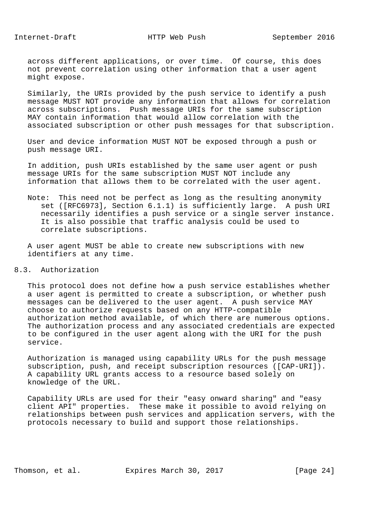Internet-Draft HTTP Web Push September 2016

 across different applications, or over time. Of course, this does not prevent correlation using other information that a user agent might expose.

 Similarly, the URIs provided by the push service to identify a push message MUST NOT provide any information that allows for correlation across subscriptions. Push message URIs for the same subscription MAY contain information that would allow correlation with the associated subscription or other push messages for that subscription.

 User and device information MUST NOT be exposed through a push or push message URI.

 In addition, push URIs established by the same user agent or push message URIs for the same subscription MUST NOT include any information that allows them to be correlated with the user agent.

 Note: This need not be perfect as long as the resulting anonymity set ([RFC6973], Section 6.1.1) is sufficiently large. A push URI necessarily identifies a push service or a single server instance. It is also possible that traffic analysis could be used to correlate subscriptions.

 A user agent MUST be able to create new subscriptions with new identifiers at any time.

# 8.3. Authorization

 This protocol does not define how a push service establishes whether a user agent is permitted to create a subscription, or whether push messages can be delivered to the user agent. A push service MAY choose to authorize requests based on any HTTP-compatible authorization method available, of which there are numerous options. The authorization process and any associated credentials are expected to be configured in the user agent along with the URI for the push service.

 Authorization is managed using capability URLs for the push message subscription, push, and receipt subscription resources ([CAP-URI]). A capability URL grants access to a resource based solely on knowledge of the URL.

 Capability URLs are used for their "easy onward sharing" and "easy client API" properties. These make it possible to avoid relying on relationships between push services and application servers, with the protocols necessary to build and support those relationships.

Thomson, et al. Expires March 30, 2017 [Page 24]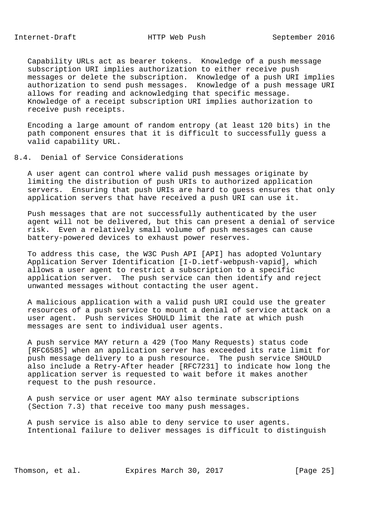Capability URLs act as bearer tokens. Knowledge of a push message subscription URI implies authorization to either receive push messages or delete the subscription. Knowledge of a push URI implies authorization to send push messages. Knowledge of a push message URI allows for reading and acknowledging that specific message. Knowledge of a receipt subscription URI implies authorization to receive push receipts.

 Encoding a large amount of random entropy (at least 120 bits) in the path component ensures that it is difficult to successfully guess a valid capability URL.

#### 8.4. Denial of Service Considerations

 A user agent can control where valid push messages originate by limiting the distribution of push URIs to authorized application servers. Ensuring that push URIs are hard to guess ensures that only application servers that have received a push URI can use it.

 Push messages that are not successfully authenticated by the user agent will not be delivered, but this can present a denial of service risk. Even a relatively small volume of push messages can cause battery-powered devices to exhaust power reserves.

 To address this case, the W3C Push API [API] has adopted Voluntary Application Server Identification [I-D.ietf-webpush-vapid], which allows a user agent to restrict a subscription to a specific application server. The push service can then identify and reject unwanted messages without contacting the user agent.

 A malicious application with a valid push URI could use the greater resources of a push service to mount a denial of service attack on a user agent. Push services SHOULD limit the rate at which push messages are sent to individual user agents.

 A push service MAY return a 429 (Too Many Requests) status code [RFC6585] when an application server has exceeded its rate limit for push message delivery to a push resource. The push service SHOULD also include a Retry-After header [RFC7231] to indicate how long the application server is requested to wait before it makes another request to the push resource.

 A push service or user agent MAY also terminate subscriptions (Section 7.3) that receive too many push messages.

 A push service is also able to deny service to user agents. Intentional failure to deliver messages is difficult to distinguish

Thomson, et al. Expires March 30, 2017 [Page 25]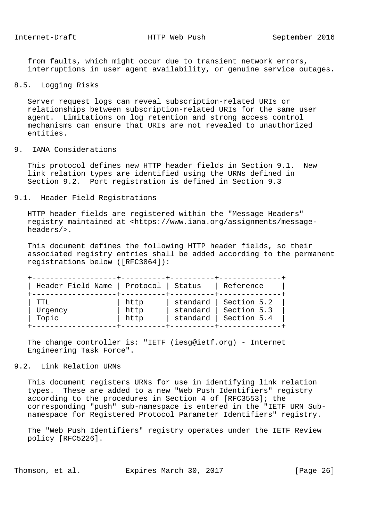from faults, which might occur due to transient network errors, interruptions in user agent availability, or genuine service outages.

# 8.5. Logging Risks

 Server request logs can reveal subscription-related URIs or relationships between subscription-related URIs for the same user agent. Limitations on log retention and strong access control mechanisms can ensure that URIs are not revealed to unauthorized entities.

# 9. IANA Considerations

 This protocol defines new HTTP header fields in Section 9.1. New link relation types are identified using the URNs defined in Section 9.2. Port registration is defined in Section 9.3

#### 9.1. Header Field Registrations

 HTTP header fields are registered within the "Message Headers" registry maintained at <https://www.iana.org/assignments/message headers/>.

 This document defines the following HTTP header fields, so their associated registry entries shall be added according to the permanent registrations below ([RFC3864]):

| Header Field Name | Protocol | Status   | Reference   |
|-------------------|----------|----------|-------------|
| TTT.              | http     | standard | Section 5.2 |
| Urgency           | http     | standard | Section 5.3 |
| Topic             | http     | standard | Section 5.4 |

 The change controller is: "IETF (iesg@ietf.org) - Internet Engineering Task Force".

# 9.2. Link Relation URNs

 This document registers URNs for use in identifying link relation types. These are added to a new "Web Push Identifiers" registry according to the procedures in Section 4 of [RFC3553]; the corresponding "push" sub-namespace is entered in the "IETF URN Sub namespace for Registered Protocol Parameter Identifiers" registry.

 The "Web Push Identifiers" registry operates under the IETF Review policy [RFC5226].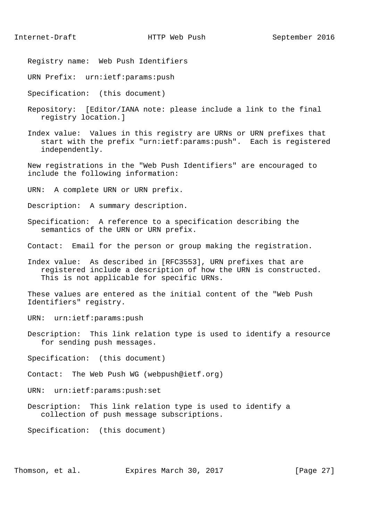- Registry name: Web Push Identifiers
- URN Prefix: urn:ietf:params:push
- Specification: (this document)
- Repository: [Editor/IANA note: please include a link to the final registry location.]
- Index value: Values in this registry are URNs or URN prefixes that start with the prefix "urn:ietf:params:push". Each is registered independently.
- New registrations in the "Web Push Identifiers" are encouraged to include the following information:
- URN: A complete URN or URN prefix.
- Description: A summary description.
- Specification: A reference to a specification describing the semantics of the URN or URN prefix.
- Contact: Email for the person or group making the registration.
- Index value: As described in [RFC3553], URN prefixes that are registered include a description of how the URN is constructed. This is not applicable for specific URNs.
- These values are entered as the initial content of the "Web Push Identifiers" registry.
- URN: urn:ietf:params:push
- Description: This link relation type is used to identify a resource for sending push messages.
- Specification: (this document)
- Contact: The Web Push WG (webpush@ietf.org)
- URN: urn:ietf:params:push:set
- Description: This link relation type is used to identify a collection of push message subscriptions.

Specification: (this document)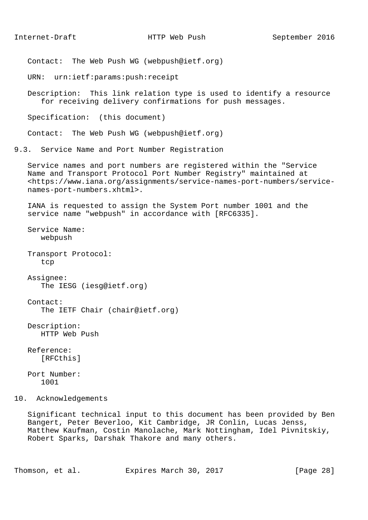Contact: The Web Push WG (webpush@ietf.org)

URN: urn:ietf:params:push:receipt

 Description: This link relation type is used to identify a resource for receiving delivery confirmations for push messages.

Specification: (this document)

Contact: The Web Push WG (webpush@ietf.org)

9.3. Service Name and Port Number Registration

 Service names and port numbers are registered within the "Service Name and Transport Protocol Port Number Registry" maintained at <https://www.iana.org/assignments/service-names-port-numbers/service names-port-numbers.xhtml>.

 IANA is requested to assign the System Port number 1001 and the service name "webpush" in accordance with [RFC6335].

 Service Name: webpush

 Transport Protocol: tcp

 Assignee: The IESG (iesg@ietf.org)

 Contact: The IETF Chair (chair@ietf.org)

 Description: HTTP Web Push

 Reference: [RFCthis]

 Port Number: 1001

10. Acknowledgements

 Significant technical input to this document has been provided by Ben Bangert, Peter Beverloo, Kit Cambridge, JR Conlin, Lucas Jenss, Matthew Kaufman, Costin Manolache, Mark Nottingham, Idel Pivnitskiy, Robert Sparks, Darshak Thakore and many others.

Thomson, et al. Expires March 30, 2017 [Page 28]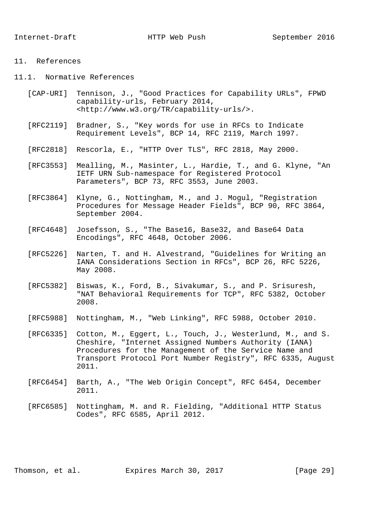### 11. References

- 11.1. Normative References
	- [CAP-URI] Tennison, J., "Good Practices for Capability URLs", FPWD capability-urls, February 2014, <http://www.w3.org/TR/capability-urls/>.
	- [RFC2119] Bradner, S., "Key words for use in RFCs to Indicate Requirement Levels", BCP 14, RFC 2119, March 1997.
	- [RFC2818] Rescorla, E., "HTTP Over TLS", RFC 2818, May 2000.
	- [RFC3553] Mealling, M., Masinter, L., Hardie, T., and G. Klyne, "An IETF URN Sub-namespace for Registered Protocol Parameters", BCP 73, RFC 3553, June 2003.
	- [RFC3864] Klyne, G., Nottingham, M., and J. Mogul, "Registration Procedures for Message Header Fields", BCP 90, RFC 3864, September 2004.
	- [RFC4648] Josefsson, S., "The Base16, Base32, and Base64 Data Encodings", RFC 4648, October 2006.
	- [RFC5226] Narten, T. and H. Alvestrand, "Guidelines for Writing an IANA Considerations Section in RFCs", BCP 26, RFC 5226, May 2008.
	- [RFC5382] Biswas, K., Ford, B., Sivakumar, S., and P. Srisuresh, "NAT Behavioral Requirements for TCP", RFC 5382, October 2008.
	- [RFC5988] Nottingham, M., "Web Linking", RFC 5988, October 2010.
	- [RFC6335] Cotton, M., Eggert, L., Touch, J., Westerlund, M., and S. Cheshire, "Internet Assigned Numbers Authority (IANA) Procedures for the Management of the Service Name and Transport Protocol Port Number Registry", RFC 6335, August 2011.
	- [RFC6454] Barth, A., "The Web Origin Concept", RFC 6454, December 2011.
	- [RFC6585] Nottingham, M. and R. Fielding, "Additional HTTP Status Codes", RFC 6585, April 2012.

Thomson, et al. Expires March 30, 2017 [Page 29]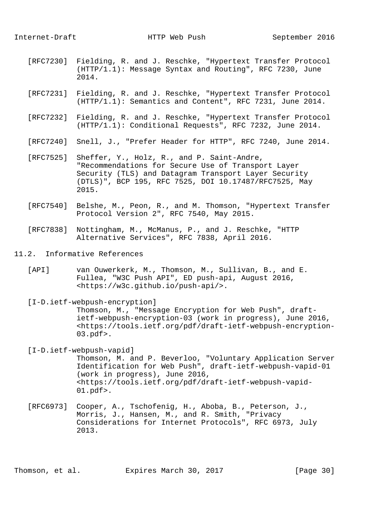- [RFC7230] Fielding, R. and J. Reschke, "Hypertext Transfer Protocol (HTTP/1.1): Message Syntax and Routing", RFC 7230, June 2014.
- [RFC7231] Fielding, R. and J. Reschke, "Hypertext Transfer Protocol (HTTP/1.1): Semantics and Content", RFC 7231, June 2014.
- [RFC7232] Fielding, R. and J. Reschke, "Hypertext Transfer Protocol (HTTP/1.1): Conditional Requests", RFC 7232, June 2014.
- [RFC7240] Snell, J., "Prefer Header for HTTP", RFC 7240, June 2014.
- [RFC7525] Sheffer, Y., Holz, R., and P. Saint-Andre, "Recommendations for Secure Use of Transport Layer Security (TLS) and Datagram Transport Layer Security (DTLS)", BCP 195, RFC 7525, DOI 10.17487/RFC7525, May 2015.
- [RFC7540] Belshe, M., Peon, R., and M. Thomson, "Hypertext Transfer Protocol Version 2", RFC 7540, May 2015.
- [RFC7838] Nottingham, M., McManus, P., and J. Reschke, "HTTP Alternative Services", RFC 7838, April 2016.
- 11.2. Informative References
	- [API] van Ouwerkerk, M., Thomson, M., Sullivan, B., and E. Fullea, "W3C Push API", ED push-api, August 2016, <https://w3c.github.io/push-api/>.

 [I-D.ietf-webpush-encryption] Thomson, M., "Message Encryption for Web Push", draft ietf-webpush-encryption-03 (work in progress), June 2016, <https://tools.ietf.org/pdf/draft-ietf-webpush-encryption- 03.pdf>.

- [I-D.ietf-webpush-vapid] Thomson, M. and P. Beverloo, "Voluntary Application Server Identification for Web Push", draft-ietf-webpush-vapid-01 (work in progress), June 2016, <https://tools.ietf.org/pdf/draft-ietf-webpush-vapid- 01.pdf>.
- [RFC6973] Cooper, A., Tschofenig, H., Aboba, B., Peterson, J., Morris, J., Hansen, M., and R. Smith, "Privacy Considerations for Internet Protocols", RFC 6973, July 2013.

Thomson, et al. Expires March 30, 2017 [Page 30]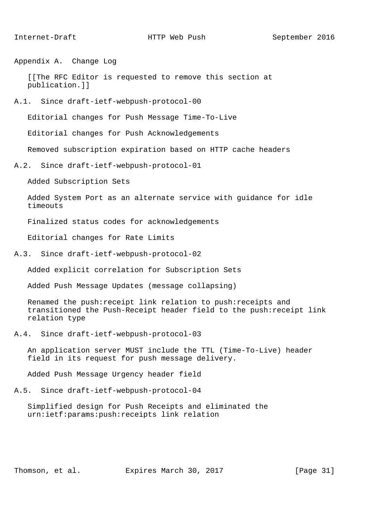Appendix A. Change Log

 [[The RFC Editor is requested to remove this section at publication.]]

A.1. Since draft-ietf-webpush-protocol-00

Editorial changes for Push Message Time-To-Live

Editorial changes for Push Acknowledgements

Removed subscription expiration based on HTTP cache headers

A.2. Since draft-ietf-webpush-protocol-01

Added Subscription Sets

 Added System Port as an alternate service with guidance for idle timeouts

Finalized status codes for acknowledgements

Editorial changes for Rate Limits

A.3. Since draft-ietf-webpush-protocol-02

Added explicit correlation for Subscription Sets

Added Push Message Updates (message collapsing)

 Renamed the push:receipt link relation to push:receipts and transitioned the Push-Receipt header field to the push:receipt link relation type

A.4. Since draft-ietf-webpush-protocol-03

 An application server MUST include the TTL (Time-To-Live) header field in its request for push message delivery.

Added Push Message Urgency header field

A.5. Since draft-ietf-webpush-protocol-04

 Simplified design for Push Receipts and eliminated the urn:ietf:params:push:receipts link relation

Thomson, et al. Expires March 30, 2017 [Page 31]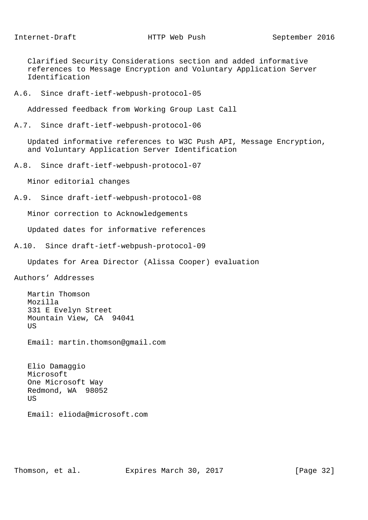Clarified Security Considerations section and added informative references to Message Encryption and Voluntary Application Server Identification

A.6. Since draft-ietf-webpush-protocol-05

Addressed feedback from Working Group Last Call

```
A.7. Since draft-ietf-webpush-protocol-06
```
 Updated informative references to W3C Push API, Message Encryption, and Voluntary Application Server Identification

A.8. Since draft-ietf-webpush-protocol-07

Minor editorial changes

A.9. Since draft-ietf-webpush-protocol-08

Minor correction to Acknowledgements

Updated dates for informative references

A.10. Since draft-ietf-webpush-protocol-09

Updates for Area Director (Alissa Cooper) evaluation

Authors' Addresses

 Martin Thomson Mozilla 331 E Evelyn Street Mountain View, CA 94041 US

Email: martin.thomson@gmail.com

 Elio Damaggio Microsoft One Microsoft Way Redmond, WA 98052 US

Email: elioda@microsoft.com

Thomson, et al. Expires March 30, 2017 [Page 32]